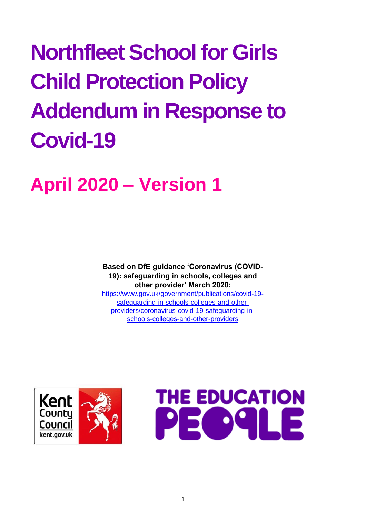# **Northfleet School for Girls Child Protection Policy Addendum in Response to Covid-19**

# **April 2020 – Version 1**

**Based on DfE guidance 'Coronavirus (COVID-19): safeguarding in schools, colleges and other provider' March 2020:**  [https://www.gov.uk/government/publications/covid-19-](https://www.gov.uk/government/publications/covid-19-safeguarding-in-schools-colleges-and-other-providers/coronavirus-covid-19-safeguarding-in-schools-colleges-and-other-providers)

[safeguarding-in-schools-colleges-and-other](https://www.gov.uk/government/publications/covid-19-safeguarding-in-schools-colleges-and-other-providers/coronavirus-covid-19-safeguarding-in-schools-colleges-and-other-providers)[providers/coronavirus-covid-19-safeguarding-in](https://www.gov.uk/government/publications/covid-19-safeguarding-in-schools-colleges-and-other-providers/coronavirus-covid-19-safeguarding-in-schools-colleges-and-other-providers)[schools-colleges-and-other-providers](https://www.gov.uk/government/publications/covid-19-safeguarding-in-schools-colleges-and-other-providers/coronavirus-covid-19-safeguarding-in-schools-colleges-and-other-providers)



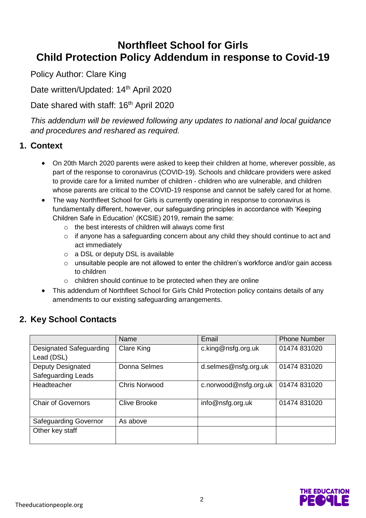# **Northfleet School for Girls Child Protection Policy Addendum in response to Covid-19**

Policy Author: Clare King

Date written/Updated: 14<sup>th</sup> April 2020

# Date shared with staff: 16<sup>th</sup> April 2020

*This addendum will be reviewed following any updates to national and local guidance and procedures and reshared as required.* 

#### **1. Context**

- On 20th March 2020 parents were asked to keep their children at home, wherever possible, as part of the response to coronavirus (COVID-19). Schools and childcare providers were asked to provide care for a limited number of children - children who are vulnerable, and children whose parents are critical to the COVID-19 response and cannot be safely cared for at home.
- The way Northfleet School for Girls is currently operating in response to coronavirus is fundamentally different, however, our safeguarding principles in accordance with 'Keeping Children Safe in Education' (KCSIE) 2019, remain the same:
	- o the best interests of children will always come first
	- o if anyone has a safeguarding concern about any child they should continue to act and act immediately
	- o a DSL or deputy DSL is available
	- o unsuitable people are not allowed to enter the children's workforce and/or gain access to children
	- o children should continue to be protected when they are online
- This addendum of Northfleet School for Girls Child Protection policy contains details of any amendments to our existing safeguarding arrangements.

# **2. Key School Contacts**

|                              | Name                 | Email                 | <b>Phone Number</b> |
|------------------------------|----------------------|-----------------------|---------------------|
| Designated Safeguarding      | Clare King           | c.king@nsfg.org.uk    | 01474 831020        |
| Lead (DSL)                   |                      |                       |                     |
| <b>Deputy Designated</b>     | Donna Selmes         | d.selmes@nsfg.org.uk  | 01474 831020        |
| <b>Safeguarding Leads</b>    |                      |                       |                     |
| Headteacher                  | <b>Chris Norwood</b> | c.norwood@nsfg.org.uk | 01474 831020        |
|                              |                      |                       |                     |
| <b>Chair of Governors</b>    | <b>Clive Brooke</b>  | info@nsfg.org.uk      | 01474 831020        |
|                              |                      |                       |                     |
| <b>Safeguarding Governor</b> | As above             |                       |                     |
| Other key staff              |                      |                       |                     |
|                              |                      |                       |                     |

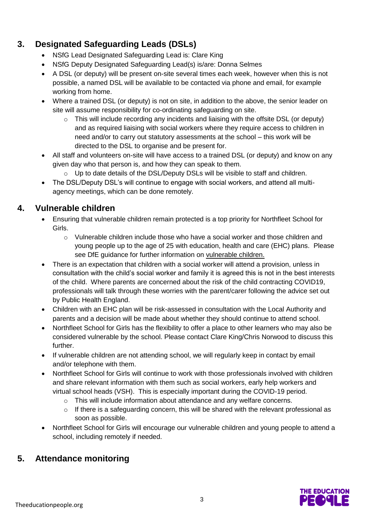# **3. Designated Safeguarding Leads (DSLs)**

- NSfG Lead Designated Safeguarding Lead is: Clare King
- NSfG Deputy Designated Safeguarding Lead(s) is/are: Donna Selmes
- A DSL (or deputy) will be present on-site several times each week, however when this is not possible, a named DSL will be available to be contacted via phone and email, for example working from home.
- Where a trained DSL (or deputy) is not on site, in addition to the above, the senior leader on site will assume responsibility for co-ordinating safeguarding on site.
	- o This will include recording any incidents and liaising with the offsite DSL (or deputy) and as required liaising with social workers where they require access to children in need and/or to carry out statutory assessments at the school – this work will be directed to the DSL to organise and be present for.
- All staff and volunteers on-site will have access to a trained DSL (or deputy) and know on any given day who that person is, and how they can speak to them.
	- $\circ$  Up to date details of the DSL/Deputy DSLs will be visible to staff and children.
- The DSL/Deputy DSL's will continue to engage with social workers, and attend all multiagency meetings, which can be done remotely.

### **4. Vulnerable children**

- Ensuring that vulnerable children remain protected is a top priority for Northfleet School for Girls.
	- $\circ$  Vulnerable children include those who have a social worker and those children and young people up to the age of 25 with education, health and care (EHC) plans. Please see DfE guidance for further information on [vulnerable children.](https://www.gov.uk/government/publications/coronavirus-covid-19-guidance-on-vulnerable-children-and-young-people/coronavirus-covid-19-guidance-on-vulnerable-children-and-young-people)
- There is an expectation that children with a social worker will attend a provision, unless in consultation with the child's social worker and family it is agreed this is not in the best interests of the child. Where parents are concerned about the risk of the child contracting COVID19, professionals will talk through these worries with the parent/carer following the advice set out by Public Health England.
- Children with an EHC plan will be risk-assessed in consultation with the Local Authority and parents and a decision will be made about whether they should continue to attend school.
- Northfleet School for Girls has the flexibility to offer a place to other learners who may also be considered vulnerable by the school. Please contact Clare King/Chris Norwood to discuss this further.
- If vulnerable children are not attending school, we will regularly keep in contact by email and/or telephone with them.
- Northfleet School for Girls will continue to work with those professionals involved with children and share relevant information with them such as social workers, early help workers and virtual school heads (VSH). This is especially important during the COVID-19 period.
	- o This will include information about attendance and any welfare concerns.
	- o If there is a safeguarding concern, this will be shared with the relevant professional as soon as possible.
- Northfleet School for Girls will encourage our vulnerable children and young people to attend a school, including remotely if needed.

# **5. Attendance monitoring**

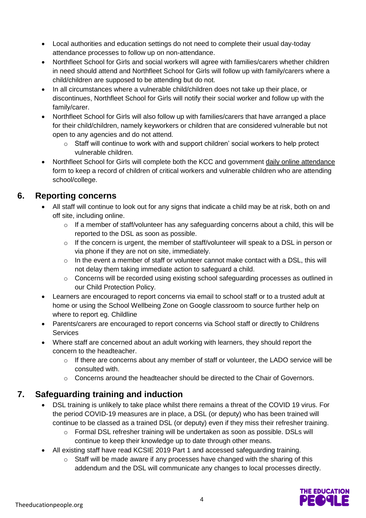- Local authorities and education settings do not need to complete their usual day-today attendance processes to follow up on non-attendance.
- Northfleet School for Girls and social workers will agree with families/carers whether children in need should attend and Northfleet School for Girls will follow up with family/carers where a child/children are supposed to be attending but do not.
- In all circumstances where a vulnerable child/children does not take up their place, or discontinues, Northfleet School for Girls will notify their social worker and follow up with the family/carer.
- Northfleet School for Girls will also follow up with families/carers that have arranged a place for their child/children, namely keyworkers or children that are considered vulnerable but not open to any agencies and do not attend.
	- $\circ$  Staff will continue to work with and support children' social workers to help protect vulnerable children.
- Northfleet School for Girls will complete both the KCC and government [daily online attendance](file:///C:/Users/KandoA02/OneDrive%20-%20The%20Education%20People/Desktop/daily%20online%20attendance%20form.htm) form to keep a record of children of critical workers and vulnerable children who are attending school/college.

#### **6. Reporting concerns**

- All staff will continue to look out for any signs that indicate a child may be at risk, both on and off site, including online.
	- $\circ$  If a member of staff/volunteer has any safeguarding concerns about a child, this will be reported to the DSL as soon as possible.
	- o If the concern is urgent, the member of staff/volunteer will speak to a DSL in person or via phone if they are not on site, immediately.
	- $\circ$  In the event a member of staff or volunteer cannot make contact with a DSL, this will not delay them taking immediate action to safeguard a child.
	- $\circ$  Concerns will be recorded using existing school safeguarding processes as outlined in our Child Protection Policy.
- Learners are encouraged to report concerns via email to school staff or to a trusted adult at home or using the School Wellbeing Zone on Google classroom to source further help on where to report eg. Childline
- Parents/carers are encouraged to report concerns via School staff or directly to Childrens **Services**
- Where staff are concerned about an adult working with learners, they should report the concern to the headteacher.
	- $\circ$  If there are concerns about any member of staff or volunteer, the LADO service will be consulted with.
	- $\circ$  Concerns around the headteacher should be directed to the Chair of Governors.

# **7. Safeguarding training and induction**

- DSL training is unlikely to take place whilst there remains a threat of the COVID 19 virus. For the period COVID-19 measures are in place, a DSL (or deputy) who has been trained will continue to be classed as a trained DSL (or deputy) even if they miss their refresher training.
	- o Formal DSL refresher training will be undertaken as soon as possible. DSLs will continue to keep their knowledge up to date through other means.
- All existing staff have read KCSIE 2019 Part 1 and accessed safeguarding training.
	- $\circ$  Staff will be made aware if any processes have changed with the sharing of this addendum and the DSL will communicate any changes to local processes directly.

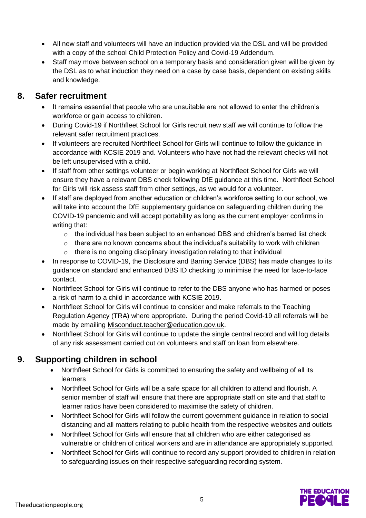- All new staff and volunteers will have an induction provided via the DSL and will be provided with a copy of the school Child Protection Policy and Covid-19 Addendum.
- Staff may move between school on a temporary basis and consideration given will be given by the DSL as to what induction they need on a case by case basis, dependent on existing skills and knowledge.

#### **8. Safer recruitment**

- It remains essential that people who are unsuitable are not allowed to enter the children's workforce or gain access to children.
- During Covid-19 if Northfleet School for Girls recruit new staff we will continue to follow the relevant safer recruitment practices.
- If volunteers are recruited Northfleet School for Girls will continue to follow the guidance in accordance with KCSIE 2019 and. Volunteers who have not had the relevant checks will not be left unsupervised with a child.
- If staff from other settings volunteer or begin working at Northfleet School for Girls we will ensure they have a relevant DBS check following DfE guidance at this time. Northfleet School for Girls will risk assess staff from other settings, as we would for a volunteer.
- If staff are deployed from another education or children's workforce setting to our school, we will take into account the DfE supplementary guidance on safeguarding children during the COVID-19 pandemic and will accept portability as long as the current employer confirms in writing that:
	- $\circ$  the individual has been subject to an enhanced DBS and children's barred list check
	- $\circ$  there are no known concerns about the individual's suitability to work with children
	- o there is no ongoing disciplinary investigation relating to that individual
- In response to COVID-19, the Disclosure and Barring Service (DBS) has made changes to its guidance on standard and enhanced DBS ID checking to minimise the need for face-to-face contact.
- Northfleet School for Girls will continue to refer to the DBS anyone who has harmed or poses a risk of harm to a child in accordance with KCSIE 2019.
- Northfleet School for Girls will continue to consider and make referrals to the Teaching Regulation Agency (TRA) where appropriate. During the period Covid-19 all referrals will be made by emailing [Misconduct.teacher@education.gov.uk.](mailto:Misconduct.teacher@education.gov.uk)
- Northfleet School for Girls will continue to update the single central record and will log details of any risk assessment carried out on volunteers and staff on loan from elsewhere.

# **9. Supporting children in school**

- Northfleet School for Girls is committed to ensuring the safety and wellbeing of all its learners
- Northfleet School for Girls will be a safe space for all children to attend and flourish. A senior member of staff will ensure that there are appropriate staff on site and that staff to learner ratios have been considered to maximise the safety of children.
- Northfleet School for Girls will follow the current government guidance in relation to social distancing and all matters relating to public health from the respective websites and outlets
- Northfleet School for Girls will ensure that all children who are either categorised as vulnerable or children of critical workers and are in attendance are appropriately supported.
- Northfleet School for Girls will continue to record any support provided to children in relation to safeguarding issues on their respective safeguarding recording system.

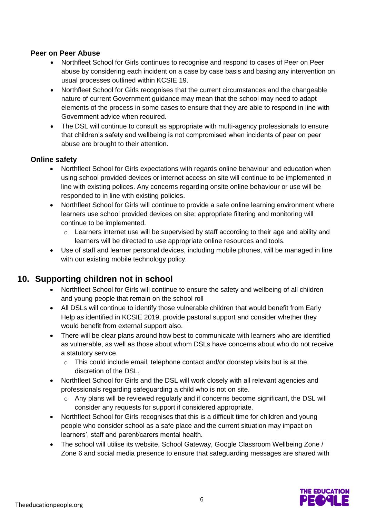#### **Peer on Peer Abuse**

- Northfleet School for Girls continues to recognise and respond to cases of Peer on Peer abuse by considering each incident on a case by case basis and basing any intervention on usual processes outlined within KCSIE 19.
- Northfleet School for Girls recognises that the current circumstances and the changeable nature of current Government guidance may mean that the school may need to adapt elements of the process in some cases to ensure that they are able to respond in line with Government advice when required.
- The DSL will continue to consult as appropriate with multi-agency professionals to ensure that children's safety and wellbeing is not compromised when incidents of peer on peer abuse are brought to their attention.

#### **Online safety**

- Northfleet School for Girls expectations with regards online behaviour and education when using school provided devices or internet access on site will continue to be implemented in line with existing polices. Any concerns regarding onsite online behaviour or use will be responded to in line with existing policies.
- Northfleet School for Girls will continue to provide a safe online learning environment where learners use school provided devices on site; appropriate filtering and monitoring will continue to be implemented.
	- o Learners internet use will be supervised by staff according to their age and ability and learners will be directed to use appropriate online resources and tools.
- Use of staff and learner personal devices, including mobile phones, will be managed in line with our existing mobile technology policy.

# **10. Supporting children not in school**

- Northfleet School for Girls will continue to ensure the safety and wellbeing of all children and young people that remain on the school roll
- All DSLs will continue to identify those vulnerable children that would benefit from Early Help as identified in KCSIE 2019, provide pastoral support and consider whether they would benefit from external support also.
- There will be clear plans around how best to communicate with learners who are identified as vulnerable, as well as those about whom DSLs have concerns about who do not receive a statutory service.
	- $\circ$  This could include email, telephone contact and/or doorstep visits but is at the discretion of the DSL.
- Northfleet School for Girls and the DSL will work closely with all relevant agencies and professionals regarding safeguarding a child who is not on site.
	- Any plans will be reviewed regularly and if concerns become significant, the DSL will consider any requests for support if considered appropriate.
- Northfleet School for Girls recognises that this is a difficult time for children and young people who consider school as a safe place and the current situation may impact on learners', staff and parent/carers mental health.
- The school will utilise its website, School Gateway, Google Classroom Wellbeing Zone / Zone 6 and social media presence to ensure that safeguarding messages are shared with

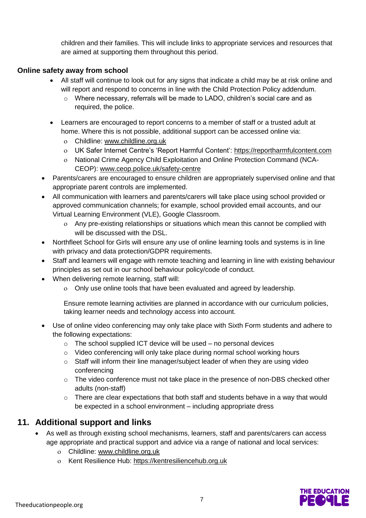children and their families. This will include links to appropriate services and resources that are aimed at supporting them throughout this period.

#### **Online safety away from school**

- All staff will continue to look out for any signs that indicate a child may be at risk online and will report and respond to concerns in line with the Child Protection Policy addendum.
	- o Where necessary, referrals will be made to LADO, children's social care and as required, the police.
- Learners are encouraged to report concerns to a member of staff or a trusted adult at home. Where this is not possible, additional support can be accessed online via:
	- Childline: [www.childline.org.uk](http://www.childline.org.uk/)
	- UK Safer Internet Centre's 'Report Harmful Content': [https://reportharmfulcontent.com](https://reportharmfulcontent.com/)
	- National Crime Agency Child Exploitation and Online Protection Command (NCA-CEOP): [www.ceop.police.uk/safety-centre](https://www.ceop.police.uk/safety-centre/)
- Parents/carers are encouraged to ensure children are appropriately supervised online and that appropriate parent controls are implemented.
- All communication with learners and parents/carers will take place using school provided or approved communication channels; for example, school provided email accounts, and our Virtual Learning Environment (VLE), Google Classroom.
	- Any pre-existing relationships or situations which mean this cannot be complied with will be discussed with the DSL.
- Northfleet School for Girls will ensure any use of online learning tools and systems is in line with privacy and data protection/GDPR requirements.
- Staff and learners will engage with remote teaching and learning in line with existing behaviour principles as set out in our school behaviour policy/code of conduct.
- When delivering remote learning, staff will:
	- Only use online tools that have been evaluated and agreed by leadership.

Ensure remote learning activities are planned in accordance with our curriculum policies, taking learner needs and technology access into account.

- Use of online video conferencing may only take place with Sixth Form students and adhere to the following expectations:
	- $\circ$  The school supplied ICT device will be used no personal devices
	- o Video conferencing will only take place during normal school working hours
	- $\circ$  Staff will inform their line manager/subject leader of when they are using video conferencing
	- o The video conference must not take place in the presence of non-DBS checked other adults (non-staff)
	- $\circ$  There are clear expectations that both staff and students behave in a way that would be expected in a school environment – including appropriate dress

#### **11. Additional support and links**

- As well as through existing school mechanisms, learners, staff and parents/carers can access age appropriate and practical support and advice via a range of national and local services:
	- Childline: [www.childline.org.uk](https://www.childline.org.uk/)
	- Kent Resilience Hub: [https://kentresiliencehub.org.uk](https://kentresiliencehub.org.uk/)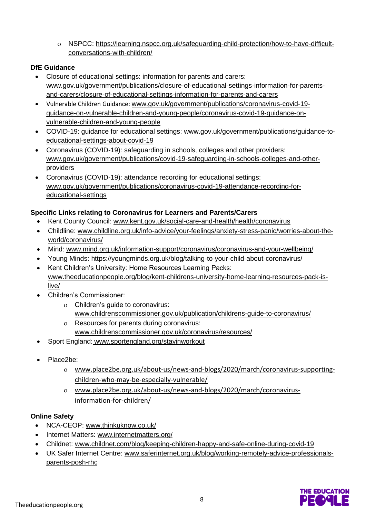NSPCC: [https://learning.nspcc.org.uk/safeguarding-child-protection/how-to-have-difficult](https://learning.nspcc.org.uk/safeguarding-child-protection/how-to-have-difficult-conversations-with-children/)[conversations-with-children/](https://learning.nspcc.org.uk/safeguarding-child-protection/how-to-have-difficult-conversations-with-children/)

#### **DfE Guidance**

- Closure of educational settings: information for parents and carers: [www.gov.uk/government/publications/closure-of-educational-settings-information-for-parents](https://www.gov.uk/government/publications/closure-of-educational-settings-information-for-parents-and-carers/closure-of-educational-settings-information-for-parents-and-carers)[and-carers/closure-of-educational-settings-information-for-parents-and-carers](https://www.gov.uk/government/publications/closure-of-educational-settings-information-for-parents-and-carers/closure-of-educational-settings-information-for-parents-and-carers)
- Vulnerable Children Guidance: [www.gov.uk/government/publications/coronavirus-covid-19](https://www.gov.uk/government/publications/coronavirus-covid-19-guidance-on-vulnerable-children-and-young-people/coronavirus-covid-19-guidance-on-vulnerable-children-and-young-people) [guidance-on-vulnerable-children-and-young-people/coronavirus-covid-19-guidance-on](https://www.gov.uk/government/publications/coronavirus-covid-19-guidance-on-vulnerable-children-and-young-people/coronavirus-covid-19-guidance-on-vulnerable-children-and-young-people)[vulnerable-children-and-young-people](https://www.gov.uk/government/publications/coronavirus-covid-19-guidance-on-vulnerable-children-and-young-people/coronavirus-covid-19-guidance-on-vulnerable-children-and-young-people)
- COVID-19: guidance for educational settings: [www.gov.uk/government/publications/guidance-to](http://www.gov.uk/government/publications/guidance-to-educational-settings-about-covid-19)[educational-settings-about-covid-19](http://www.gov.uk/government/publications/guidance-to-educational-settings-about-covid-19)
- Coronavirus (COVID-19): safeguarding in schools, colleges and other providers: [www.gov.uk/government/publications/covid-19-safeguarding-in-schools-colleges-and-other](http://www.gov.uk/government/publications/covid-19-safeguarding-in-schools-colleges-and-other-providers)[providers](http://www.gov.uk/government/publications/covid-19-safeguarding-in-schools-colleges-and-other-providers)
- Coronavirus (COVID-19): attendance recording for educational settings: [www.gov.uk/government/publications/coronavirus-covid-19-attendance-recording-for](http://www.gov.uk/government/publications/coronavirus-covid-19-attendance-recording-for-educational-settings)[educational-settings](http://www.gov.uk/government/publications/coronavirus-covid-19-attendance-recording-for-educational-settings)

#### **Specific Links relating to Coronavirus for Learners and Parents/Carers**

- Kent County Council: [www.kent.gov.uk/social-care-and-health/health/coronavirus](http://www.kent.gov.uk/social-care-and-health/health/coronavirus)
- Childline: [www.childline.org.uk/info-advice/your-feelings/anxiety-stress-panic/worries-about-the](http://www.childline.org.uk/info-advice/your-feelings/anxiety-stress-panic/worries-about-the-world/coronavirus/)[world/coronavirus/](http://www.childline.org.uk/info-advice/your-feelings/anxiety-stress-panic/worries-about-the-world/coronavirus/)
- Mind: [www.mind.org.uk/information-support/coronavirus/coronavirus-and-your-wellbeing/](http://www.mind.org.uk/information-support/coronavirus/coronavirus-and-your-wellbeing/)
- Young Minds:<https://youngminds.org.uk/blog/talking-to-your-child-about-coronavirus/>
- Kent Children's University: Home Resources Learning Packs: [www.theeducationpeople.org/blog/kent-childrens-university-home-learning-resources-pack-is](http://www.theeducationpeople.org/blog/kent-childrens-university-home-learning-resources-pack-is-live/)[live/](http://www.theeducationpeople.org/blog/kent-childrens-university-home-learning-resources-pack-is-live/)
- Children's Commissioner:
	- Children's guide to coronavirus: [www.childrenscommissioner.gov.uk/publication/childrens-guide-to-coronavirus/](http://www.childrenscommissioner.gov.uk/publication/childrens-guide-to-coronavirus/)
	- Resources for parents during coronavirus: [www.childrenscommissioner.gov.uk/coronavirus/resources/](http://www.childrenscommissioner.gov.uk/coronavirus/resources/)
- Sport England: [www.sportengland.org/stayinworkout](http://www.sportengland.org/stayinworkout)
- Place2be:
	- [www.place2be.org.uk/about-us/news-and-blogs/2020/march/coronavirus-supporting](http://www.place2be.org.uk/about-us/news-and-blogs/2020/march/coronavirus-supporting-children-who-may-be-especially-vulnerable/)[children-who-may-be-especially-vulnerable/](http://www.place2be.org.uk/about-us/news-and-blogs/2020/march/coronavirus-supporting-children-who-may-be-especially-vulnerable/)
	- [www.place2be.org.uk/about-us/news-and-blogs/2020/march/coronavirus](http://www.place2be.org.uk/about-us/news-and-blogs/2020/march/coronavirus-information-for-children/)[information-for-children/](http://www.place2be.org.uk/about-us/news-and-blogs/2020/march/coronavirus-information-for-children/)

#### **Online Safety**

- NCA-CEOP: [www.thinkuknow.co.uk/](https://www.thinkuknow.co.uk/)
- Internet Matters: [www.internetmatters.org/](https://www.internetmatters.org/)
- Childnet: [www.childnet.com/blog/keeping-children-happy-and-safe-online-during-covid-19](http://www.childnet.com/blog/keeping-children-happy-and-safe-online-during-covid-19)
- UK Safer Internet Centre: [www.saferinternet.org.uk/blog/working-remotely-advice-professionals](https://www.saferinternet.org.uk/blog/working-remotely-advice-professionals-parents-posh-rhc)[parents-posh-rhc](https://www.saferinternet.org.uk/blog/working-remotely-advice-professionals-parents-posh-rhc)